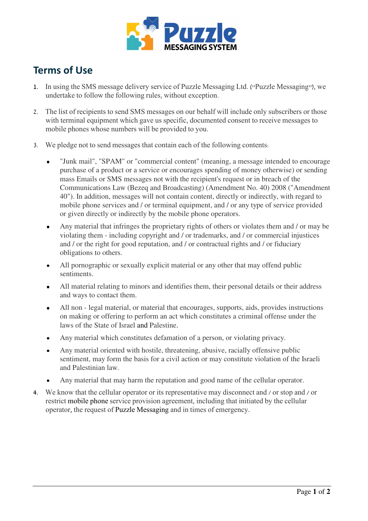

## Terms of Use

- 1. In using the SMS message delivery service of Puzzle Messaging Ltd. ("Puzzle Messaging"), we undertake to follow the following rules, without exception.
- 2. The list of recipients to send SMS messages on our behalf will include only subscribers or those with terminal equipment which gave us specific, documented consent to receive messages to mobile phones whose numbers will be provided to you.
- 3. We pledge not to send messages that contain each of the following contents:
	- "Junk mail", "SPAM" or "commercial content" (meaning, a message intended to encourage purchase of a product or a service or encourages spending of money otherwise) or sending mass Emails or SMS messages not with the recipient's request or in breach of the Communications Law (Bezeq and Broadcasting) (Amendment No. 40) 2008 ("Amendment 40"). In addition, messages will not contain content, directly or indirectly, with regard to mobile phone services and / or terminal equipment, and / or any type of service provided or given directly or indirectly by the mobile phone operators.
	- Any material that infringes the proprietary rights of others or violates them and / or may be violating them - including copyright and / or trademarks, and / or commercial injustices and / or the right for good reputation, and / or contractual rights and / or fiduciary obligations to others.
	- All pornographic or sexually explicit material or any other that may offend public sentiments.
	- All material relating to minors and identifies them, their personal details or their address and ways to contact them.
	- All non legal material, or material that encourages, supports, aids, provides instructions on making or offering to perform an act which constitutes a criminal offense under the laws of the State of Israel and Palestine.
	- Any material which constitutes defamation of a person, or violating privacy.
	- Any material oriented with hostile, threatening, abusive, racially offensive public sentiment, may form the basis for a civil action or may constitute violation of the Israeli and Palestinian law.
	- Any material that may harm the reputation and good name of the cellular operator.
- 4. We know that the cellular operator or its representative may disconnect and / or stop and / or restrict mobile phone service provision agreement, including that initiated by the cellular operator, the request of Puzzle Messaging and in times of emergency.